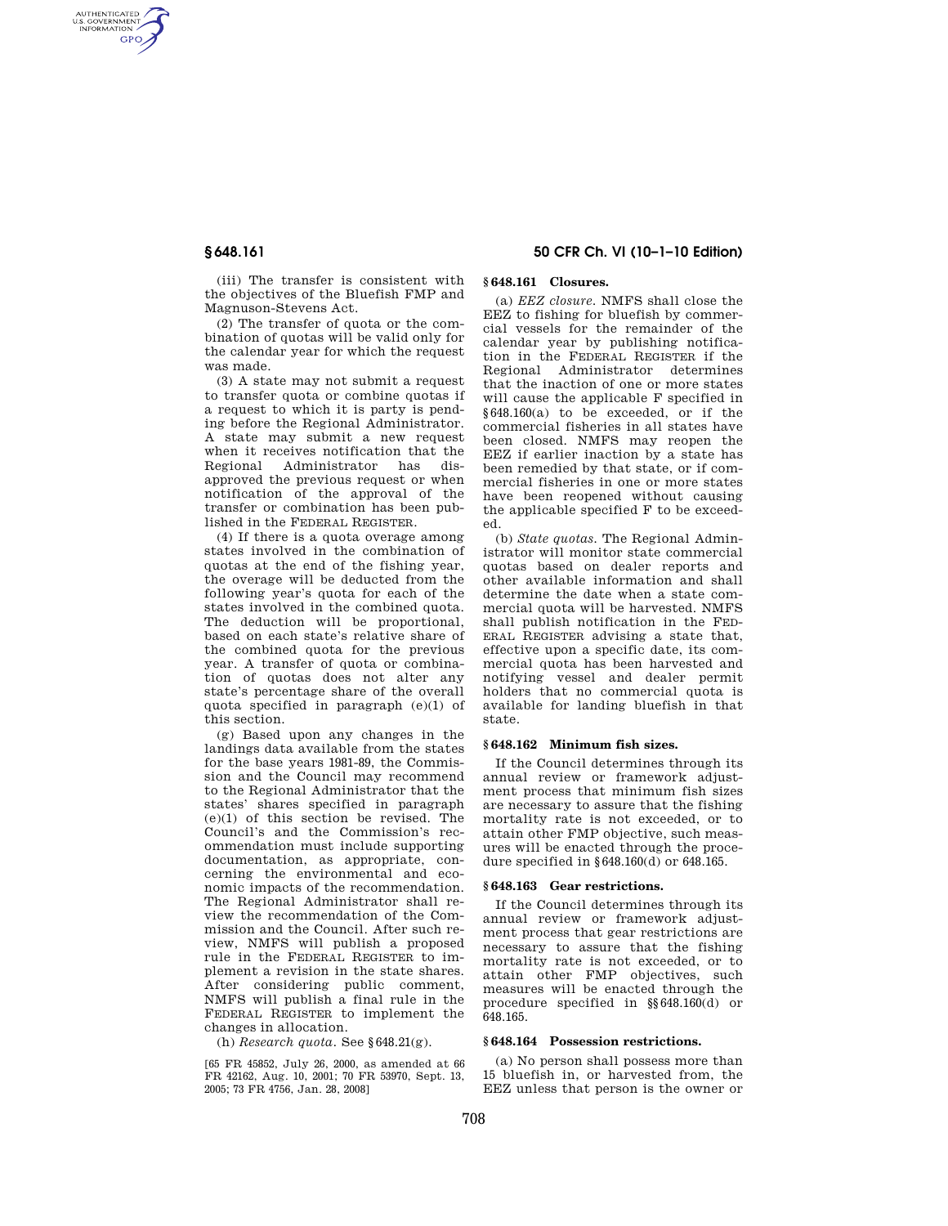AUTHENTICATED<br>U.S. GOVERNMENT<br>INFORMATION **GPO** 

> (iii) The transfer is consistent with the objectives of the Bluefish FMP and Magnuson-Stevens Act.

> (2) The transfer of quota or the combination of quotas will be valid only for the calendar year for which the request was made.

> (3) A state may not submit a request to transfer quota or combine quotas if a request to which it is party is pending before the Regional Administrator. A state may submit a new request when it receives notification that the Regional Administrator has disapproved the previous request or when notification of the approval of the transfer or combination has been published in the FEDERAL REGISTER.

> (4) If there is a quota overage among states involved in the combination of quotas at the end of the fishing year, the overage will be deducted from the following year's quota for each of the states involved in the combined quota. The deduction will be proportional, based on each state's relative share of the combined quota for the previous year. A transfer of quota or combination of quotas does not alter any state's percentage share of the overall quota specified in paragraph (e)(1) of this section.

> (g) Based upon any changes in the landings data available from the states for the base years 1981-89, the Commission and the Council may recommend to the Regional Administrator that the states' shares specified in paragraph (e)(1) of this section be revised. The Council's and the Commission's recommendation must include supporting documentation, as appropriate, concerning the environmental and economic impacts of the recommendation. The Regional Administrator shall review the recommendation of the Commission and the Council. After such review, NMFS will publish a proposed rule in the FEDERAL REGISTER to implement a revision in the state shares. After considering public comment, NMFS will publish a final rule in the FEDERAL REGISTER to implement the changes in allocation.

(h) *Research quota.* See §648.21(g).

[65 FR 45852, July 26, 2000, as amended at 66 FR 42162, Aug. 10, 2001; 70 FR 53970, Sept. 13, 2005; 73 FR 4756, Jan. 28, 2008]

# **§ 648.161 50 CFR Ch. VI (10–1–10 Edition)**

## **§ 648.161 Closures.**

(a) *EEZ closure.* NMFS shall close the EEZ to fishing for bluefish by commercial vessels for the remainder of the calendar year by publishing notification in the FEDERAL REGISTER if the Regional Administrator determines that the inaction of one or more states will cause the applicable F specified in §648.160(a) to be exceeded, or if the commercial fisheries in all states have been closed. NMFS may reopen the EEZ if earlier inaction by a state has been remedied by that state, or if commercial fisheries in one or more states have been reopened without causing the applicable specified F to be exceeded.

(b) *State quotas.* The Regional Administrator will monitor state commercial quotas based on dealer reports and other available information and shall determine the date when a state commercial quota will be harvested. NMFS shall publish notification in the FED-ERAL REGISTER advising a state that, effective upon a specific date, its commercial quota has been harvested and notifying vessel and dealer permit holders that no commercial quota is available for landing bluefish in that state.

### **§ 648.162 Minimum fish sizes.**

If the Council determines through its annual review or framework adjustment process that minimum fish sizes are necessary to assure that the fishing mortality rate is not exceeded, or to attain other FMP objective, such measures will be enacted through the procedure specified in §648.160(d) or 648.165.

#### **§ 648.163 Gear restrictions.**

If the Council determines through its annual review or framework adjustment process that gear restrictions are necessary to assure that the fishing mortality rate is not exceeded, or to attain other FMP objectives, such measures will be enacted through the procedure specified in §§648.160(d) or 648.165.

## **§ 648.164 Possession restrictions.**

(a) No person shall possess more than 15 bluefish in, or harvested from, the EEZ unless that person is the owner or